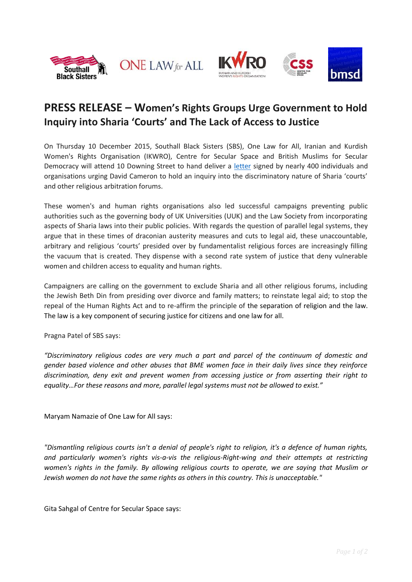



## **PRESS RELEASE – Women's Rights Groups Urge Government to Hold Inquiry into Sharia 'Courts' and The Lack of Access to Justice**

On Thursday 10 December 2015, Southall Black Sisters (SBS), One Law for All, Iranian and Kurdish Women's Rights Organisation (IKWRO), Centre for Secular Space and British Muslims for Secular Democracy will attend 10 Downing Street to hand deliver a [letter](http://www.onelawforall.org.uk/sharia-courts/) signed by nearly 400 individuals and organisations urging David Cameron to hold an inquiry into the discriminatory nature of Sharia 'courts' and other religious arbitration forums.

These women's and human rights organisations also led successful campaigns preventing public authorities such as the governing body of UK Universities (UUK) and the Law Society from incorporating aspects of Sharia laws into their public policies. With regards the question of parallel legal systems, they argue that in these times of draconian austerity measures and cuts to legal aid, these unaccountable, arbitrary and religious 'courts' presided over by fundamentalist religious forces are increasingly filling the vacuum that is created. They dispense with a second rate system of justice that deny vulnerable women and children access to equality and human rights.

Campaigners are calling on the government to exclude Sharia and all other religious forums, including the Jewish Beth Din from presiding over divorce and family matters; to reinstate legal aid; to stop the repeal of the Human Rights Act and to re-affirm the principle of the separation of religion and the law. The law is a key component of securing justice for citizens and one law for all.

Pragna Patel of SBS says:

*"Discriminatory religious codes are very much a part and parcel of the continuum of domestic and gender based violence and other abuses that BME women face in their daily lives since they reinforce discrimination, deny exit and prevent women from accessing justice or from asserting their right to equality…For these reasons and more, parallel legal systems must not be allowed to exist."*

Maryam Namazie of One Law for All says:

*"Dismantling religious courts isn't a denial of people's right to religion, it's a defence of human rights, and particularly women's rights vis-a-vis the religious-Right-wing and their attempts at restricting women's rights in the family. By allowing religious courts to operate, we are saying that Muslim or Jewish women do not have the same rights as others in this country. This is unacceptable."* 

Gita Sahgal of Centre for Secular Space says: